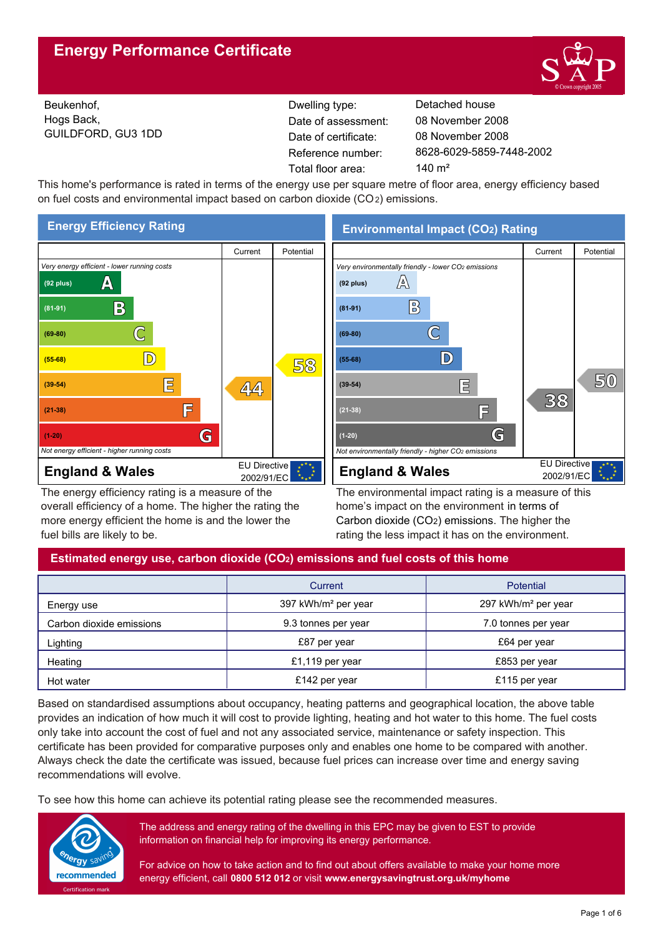

Beukenhof, Hogs Back, GUILDFORD, GU3 1DD Reference number: Dwelling type: Detached house Date of certificate: Total floor area: 140 m<sup>2</sup> Date of assessment:

8628-6029-5859-7448-2002 08 November 2008 08 November 2008

This home's performance is rated in terms of the energy use per square metre of floor area, energy efficiency based on fuel costs and environmental impact based on carbon dioxide (CO2) emissions.



The energy efficiency rating is a measure of the overall efficiency of a home. The higher the rating the more energy efficient the home is and the lower the fuel bills are likely to be.

**Environmental Impact (CO2) Rating**



The environmental impact rating is a measure of this home's impact on the environment in terms of Carbon dioxide (CO2) emissions. The higher the rating the less impact it has on the environment.

## **Estimated energy use, carbon dioxide (CO2) emissions and fuel costs of this home**

|                          | Current                         | <b>Potential</b>                |  |
|--------------------------|---------------------------------|---------------------------------|--|
| Energy use               | 397 kWh/m <sup>2</sup> per year | 297 kWh/m <sup>2</sup> per year |  |
| Carbon dioxide emissions | 9.3 tonnes per year             | 7.0 tonnes per year             |  |
| Lighting                 | £87 per year                    | £64 per year                    |  |
| Heating                  | £1,119 per year                 | £853 per year                   |  |
| Hot water                | £142 per year                   | £115 per year                   |  |

Based on standardised assumptions about occupancy, heating patterns and geographical location, the above table provides an indication of how much it will cost to provide lighting, heating and hot water to this home. The fuel costs only take into account the cost of fuel and not any associated service, maintenance or safety inspection. This certificate has been provided for comparative purposes only and enables one home to be compared with another. Always check the date the certificate was issued, because fuel prices can increase over time and energy saving recommendations will evolve.

To see how this home can achieve its potential rating please see the recommended measures.



The address and energy rating of the dwelling in this EPC may be given to EST to provide information on financial help for improving its energy performance.

For advice on how to take action and to find out about offers available to make your home more energy efficient, call **0800 512 012** or visit **www.energysavingtrust.org.uk/myhome**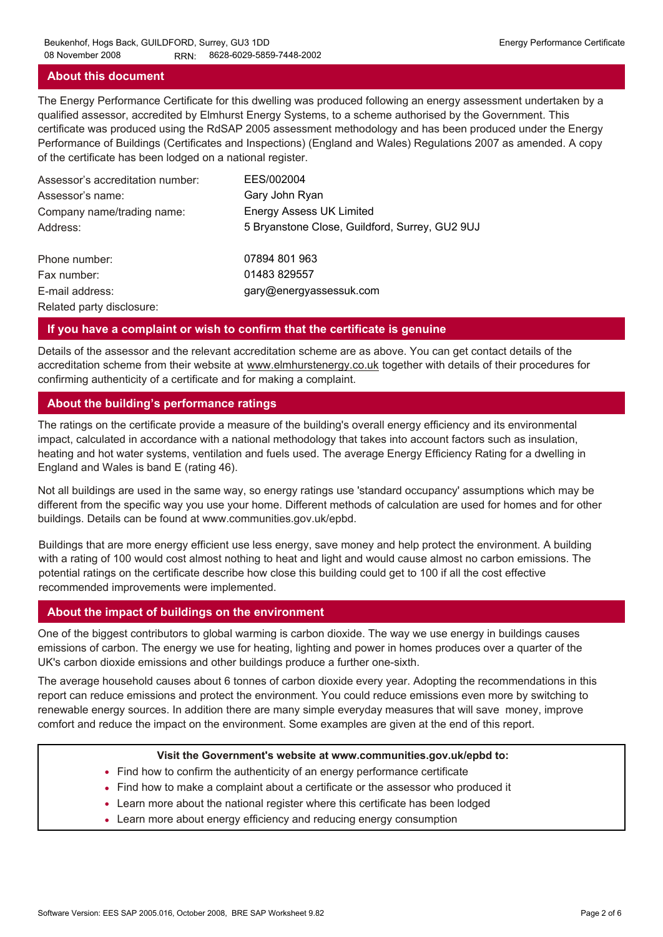## **About this document**

The Energy Performance Certificate for this dwelling was produced following an energy assessment undertaken by a qualified assessor, accredited by Elmhurst Energy Systems, to a scheme authorised by the Government. This certificate was produced using the RdSAP 2005 assessment methodology and has been produced under the Energy Performance of Buildings (Certificates and Inspections) (England and Wales) Regulations 2007 as amended. A copy of the certificate has been lodged on a national register.

| Assessor's accreditation number: | EES/002004                                     |
|----------------------------------|------------------------------------------------|
| Assessor's name:                 | Gary John Ryan                                 |
| Company name/trading name:       | <b>Energy Assess UK Limited</b>                |
| Address:                         | 5 Bryanstone Close, Guildford, Surrey, GU2 9UJ |
| Phone number:                    | 07894 801 963                                  |
| Fax number:                      | 01483 829557                                   |
| E-mail address:                  | gary@energyassessuk.com                        |
| Related party disclosure:        |                                                |

## **If you have a complaint or wish to confirm that the certificate is genuine**

Details of the assessor and the relevant accreditation scheme are as above. You can get contact details of the accreditation scheme from their website at www.elmhurstenergy.co.uk together with details of their procedures for confirming authenticity of a certificate and for making a complaint.

## **About the building's performance ratings**

The ratings on the certificate provide a measure of the building's overall energy efficiency and its environmental impact, calculated in accordance with a national methodology that takes into account factors such as insulation, heating and hot water systems, ventilation and fuels used. The average Energy Efficiency Rating for a dwelling in England and Wales is band E (rating 46).

Not all buildings are used in the same way, so energy ratings use 'standard occupancy' assumptions which may be different from the specific way you use your home. Different methods of calculation are used for homes and for other buildings. Details can be found at www.communities.gov.uk/epbd.

Buildings that are more energy efficient use less energy, save money and help protect the environment. A building with a rating of 100 would cost almost nothing to heat and light and would cause almost no carbon emissions. The potential ratings on the certificate describe how close this building could get to 100 if all the cost effective recommended improvements were implemented.

## **About the impact of buildings on the environment**

One of the biggest contributors to global warming is carbon dioxide. The way we use energy in buildings causes emissions of carbon. The energy we use for heating, lighting and power in homes produces over a quarter of the UK's carbon dioxide emissions and other buildings produce a further one-sixth.

The average household causes about 6 tonnes of carbon dioxide every year. Adopting the recommendations in this report can reduce emissions and protect the environment. You could reduce emissions even more by switching to renewable energy sources. In addition there are many simple everyday measures that will save money, improve comfort and reduce the impact on the environment. Some examples are given at the end of this report.

#### **Visit the Government's website at www.communities.gov.uk/epbd to:**

- Find how to confirm the authenticity of an energy performance certificate
- Find how to make a complaint about a certificate or the assessor who produced it •
- Learn more about the national register where this certificate has been lodged •
- Learn more about energy efficiency and reducing energy consumption •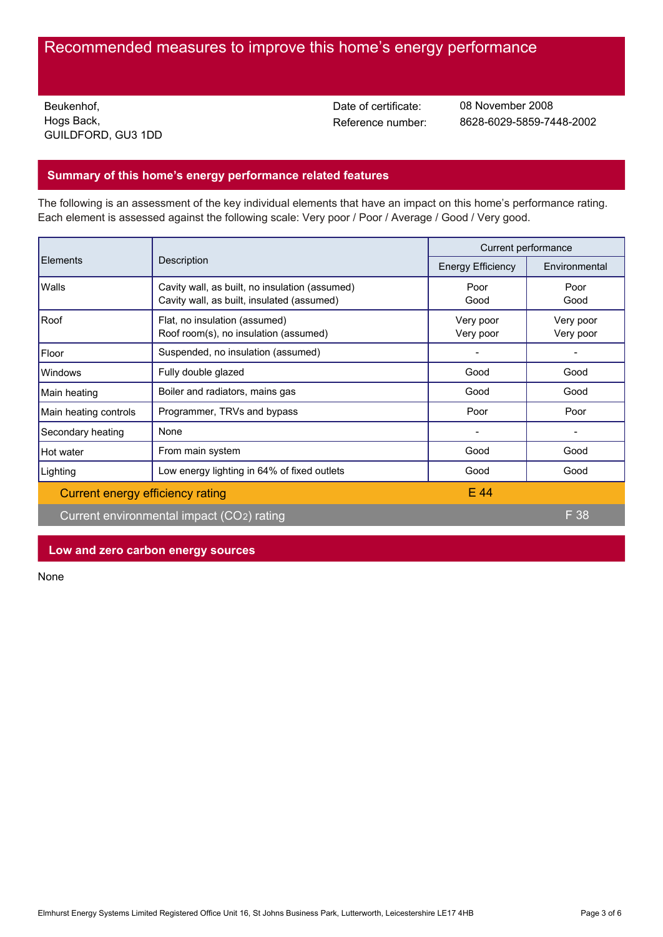# Recommended measures to improve this home's energy performance

Beukenhof, Hogs Back, GUILDFORD, GU3 1DD Date of certificate:

Reference number: 8628-6029-5859-7448-2002 08 November 2008

## **Summary of this home's energy performance related features**

The following is an assessment of the key individual elements that have an impact on this home's performance rating. Each element is assessed against the following scale: Very poor / Poor / Average / Good / Very good.

| Elements                         | Description                                                                                  | Current performance      |                        |
|----------------------------------|----------------------------------------------------------------------------------------------|--------------------------|------------------------|
|                                  |                                                                                              | <b>Energy Efficiency</b> | Environmental          |
| Walls                            | Cavity wall, as built, no insulation (assumed)<br>Cavity wall, as built, insulated (assumed) | Poor<br>Good             | Poor<br>Good           |
| Roof                             | Flat, no insulation (assumed)<br>Roof room(s), no insulation (assumed)                       | Very poor<br>Very poor   | Very poor<br>Very poor |
| Floor                            | Suspended, no insulation (assumed)                                                           |                          |                        |
| Windows                          | Fully double glazed                                                                          | Good                     | Good                   |
| Main heating                     | Boiler and radiators, mains gas                                                              | Good                     | Good                   |
| Main heating controls            | Programmer, TRVs and bypass                                                                  | Poor                     | Poor                   |
| Secondary heating                | None                                                                                         |                          |                        |
| Hot water                        | From main system                                                                             | Good                     | Good                   |
| Lighting                         | Low energy lighting in 64% of fixed outlets                                                  | Good                     | Good                   |
| Current energy efficiency rating |                                                                                              | E 44                     |                        |
|                                  | Current environmental impact (CO2) rating                                                    |                          | $F$ 38                 |

## **Low and zero carbon energy sources**

None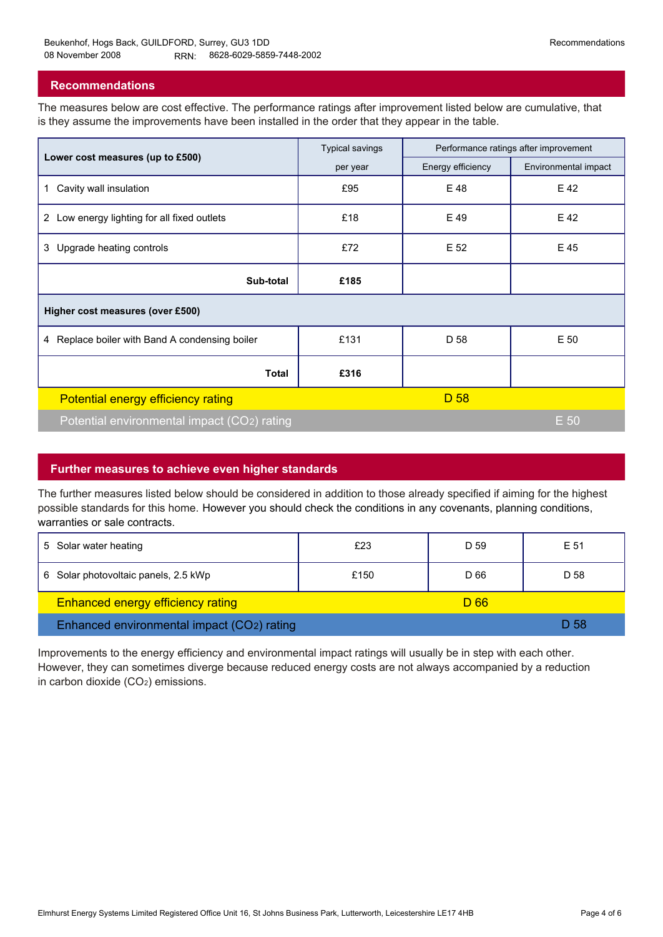## **Recommendations**

The measures below are cost effective. The performance ratings after improvement listed below are cumulative, that is they assume the improvements have been installed in the order that they appear in the table.

|                                                | <b>Typical savings</b> | Performance ratings after improvement |                      |  |  |  |
|------------------------------------------------|------------------------|---------------------------------------|----------------------|--|--|--|
| Lower cost measures (up to £500)               | per year               | Energy efficiency                     | Environmental impact |  |  |  |
| Cavity wall insulation<br>1                    | £95                    | E 48                                  | E 42                 |  |  |  |
| 2 Low energy lighting for all fixed outlets    | £18                    | E 49                                  | E 42                 |  |  |  |
| 3 Upgrade heating controls                     | £72                    | E 52                                  | E 45                 |  |  |  |
| Sub-total                                      | £185                   |                                       |                      |  |  |  |
| Higher cost measures (over £500)               |                        |                                       |                      |  |  |  |
| 4 Replace boiler with Band A condensing boiler | £131                   | D 58                                  | E 50                 |  |  |  |
| <b>Total</b>                                   | £316                   |                                       |                      |  |  |  |
| Potential energy efficiency rating             |                        | D 58                                  |                      |  |  |  |
| Potential environmental impact (CO2) rating    |                        |                                       | E 50                 |  |  |  |

## **Further measures to achieve even higher standards**

The further measures listed below should be considered in addition to those already specified if aiming for the highest possible standards for this home. However you should check the conditions in any covenants, planning conditions, warranties or sale contracts.

| 5 Solar water heating                      | £23  | D 59 | E 51 |
|--------------------------------------------|------|------|------|
| 6 Solar photovoltaic panels, 2.5 kWp       | £150 | D 66 | D 58 |
| <b>Enhanced energy efficiency rating</b>   |      | D 66 |      |
| Enhanced environmental impact (CO2) rating |      |      | D 58 |

Improvements to the energy efficiency and environmental impact ratings will usually be in step with each other. However, they can sometimes diverge because reduced energy costs are not always accompanied by a reduction in carbon dioxide (CO2) emissions.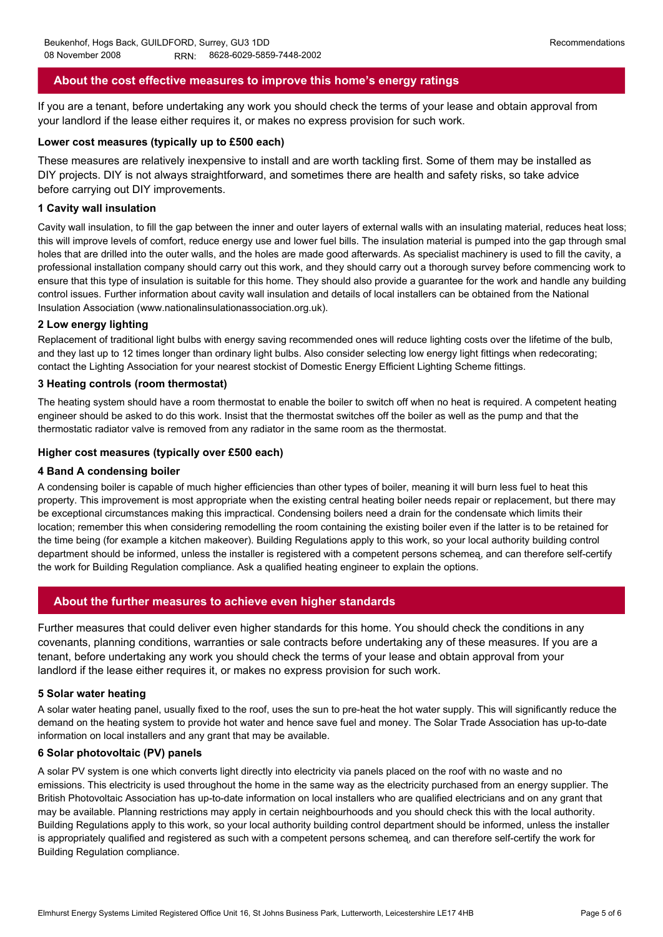## **About the cost effective measures to improve this home's energy ratings**

If you are a tenant, before undertaking any work you should check the terms of your lease and obtain approval from your landlord if the lease either requires it, or makes no express provision for such work.

## **Lower cost measures (typically up to £500 each)**

These measures are relatively inexpensive to install and are worth tackling first. Some of them may be installed as DIY projects. DIY is not always straightforward, and sometimes there are health and safety risks, so take advice before carrying out DIY improvements.

#### **1 Cavity wall insulation**

Cavity wall insulation, to fill the gap between the inner and outer layers of external walls with an insulating material, reduces heat loss; this will improve levels of comfort, reduce energy use and lower fuel bills. The insulation material is pumped into the gap through small holes that are drilled into the outer walls, and the holes are made good afterwards. As specialist machinery is used to fill the cavity, a professional installation company should carry out this work, and they should carry out a thorough survey before commencing work to ensure that this type of insulation is suitable for this home. They should also provide a guarantee for the work and handle any building control issues. Further information about cavity wall insulation and details of local installers can be obtained from the National Insulation Association (www.nationalinsulationassociation.org.uk).

#### **2 Low energy lighting**

Replacement of traditional light bulbs with energy saving recommended ones will reduce lighting costs over the lifetime of the bulb, and they last up to 12 times longer than ordinary light bulbs. Also consider selecting low energy light fittings when redecorating; contact the Lighting Association for your nearest stockist of Domestic Energy Efficient Lighting Scheme fittings.

#### **3 Heating controls (room thermostat)**

The heating system should have a room thermostat to enable the boiler to switch off when no heat is required. A competent heating engineer should be asked to do this work. Insist that the thermostat switches off the boiler as well as the pump and that the thermostatic radiator valve is removed from any radiator in the same room as the thermostat.

#### **Higher cost measures (typically over £500 each)**

#### **4 Band A condensing boiler**

A condensing boiler is capable of much higher efficiencies than other types of boiler, meaning it will burn less fuel to heat this property. This improvement is most appropriate when the existing central heating boiler needs repair or replacement, but there may be exceptional circumstances making this impractical. Condensing boilers need a drain for the condensate which limits their location; remember this when considering remodelling the room containing the existing boiler even if the latter is to be retained for the time being (for example a kitchen makeover). Building Regulations apply to this work, so your local authority building control department should be informed, unless the installer is registered with a competent persons schemeą, and can therefore self-certify the work for Building Regulation compliance. Ask a qualified heating engineer to explain the options.

## **About the further measures to achieve even higher standards**

Further measures that could deliver even higher standards for this home. You should check the conditions in any covenants, planning conditions, warranties or sale contracts before undertaking any of these measures. If you are a tenant, before undertaking any work you should check the terms of your lease and obtain approval from your landlord if the lease either requires it, or makes no express provision for such work.

#### **5 Solar water heating**

A solar water heating panel, usually fixed to the roof, uses the sun to pre-heat the hot water supply. This will significantly reduce the demand on the heating system to provide hot water and hence save fuel and money. The Solar Trade Association has up-to-date information on local installers and any grant that may be available.

#### **6 Solar photovoltaic (PV) panels**

A solar PV system is one which converts light directly into electricity via panels placed on the roof with no waste and no emissions. This electricity is used throughout the home in the same way as the electricity purchased from an energy supplier. The British Photovoltaic Association has up-to-date information on local installers who are qualified electricians and on any grant that may be available. Planning restrictions may apply in certain neighbourhoods and you should check this with the local authority. Building Regulations apply to this work, so your local authority building control department should be informed, unless the installer is appropriately qualified and registered as such with a competent persons schemeą, and can therefore self-certify the work for Building Regulation compliance.